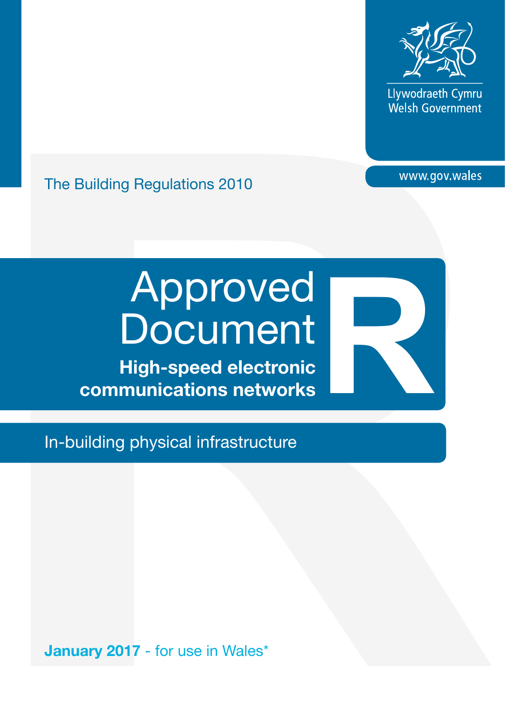

Llywodraeth Cymru Welsh Government

# The Building Regulations 2010

# The Building Regulations 2010<br> **Reproduced**<br> **Reproduced**<br> **Reproduced BOCUMENT**<br>
High-speed electronic<br>
communications networks<br>
In-building physical infrastructure<br>
<br>
January 2017 - for use in Wales' Approved **Document** Approved<br>Document<br>High-speed electronic<br>communications networks

High-speed electronic

In-building physical infrastructure

January 2017 - for use in Wales\*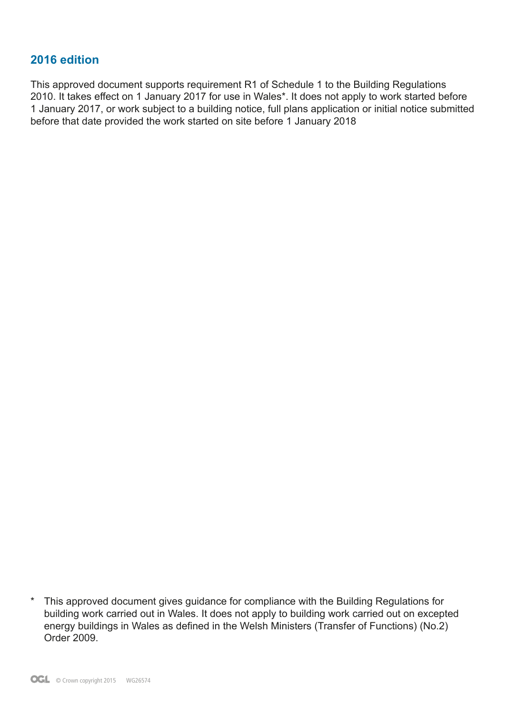# **2016 edition**

This approved document supports requirement R1 of Schedule 1 to the Building Regulations 2010. It takes effect on 1 January 2017 for use in Wales\*. It does not apply to work started before 1 January 2017, or work subject to a building notice, full plans application or initial notice submitted before that date provided the work started on site before 1 January 2018

<sup>\*</sup> This approved document gives guidance for compliance with the Building Regulations for building work carried out in Wales. It does not apply to building work carried out on excepted energy buildings in Wales as defined in the Welsh Ministers (Transfer of Functions) (No.2) Order 2009.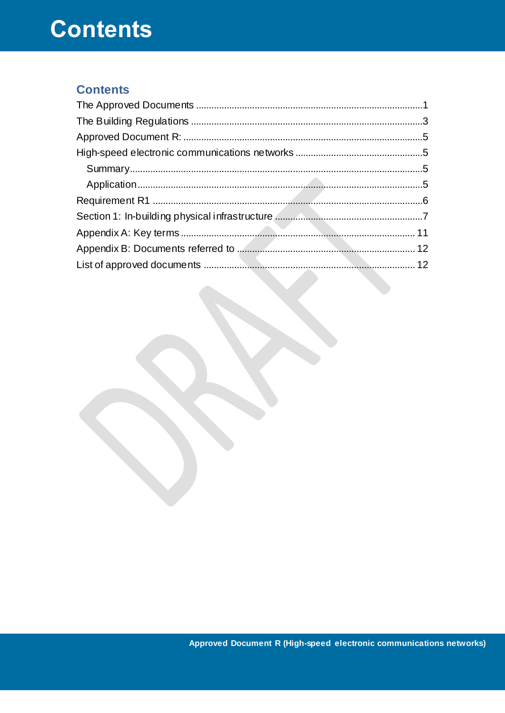# **Contents**

# **Contents**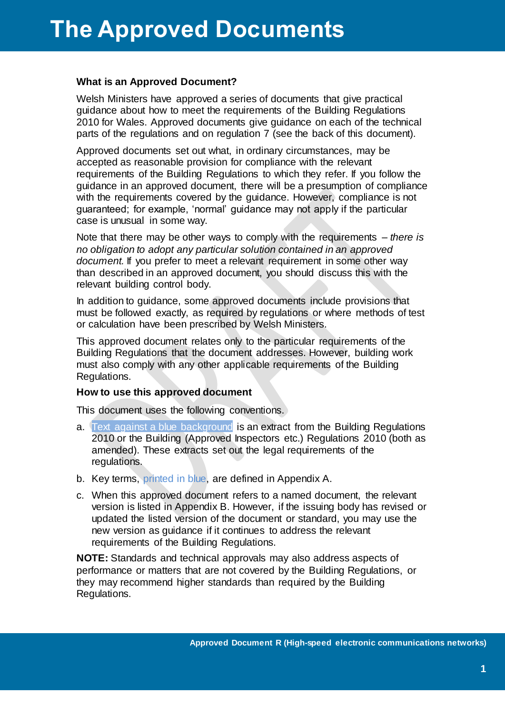#### <span id="page-3-0"></span>**What is an Approved Document?**

Welsh Ministers have approved a series of documents that give practical guidance about how to meet the requirements of the Building Regulations 2010 for Wales. Approved documents give guidance on each of the technical parts of the regulations and on regulation 7 (see the back of this document).

Approved documents set out what, in ordinary circumstances, may be accepted as reasonable provision for compliance with the relevant requirements of the Building Regulations to which they refer. If you follow the guidance in an approved document, there will be a presumption of compliance with the requirements covered by the guidance. However, compliance is not guaranteed; for example, 'normal' guidance may not apply if the particular case is unusual in some way.

Note that there may be other ways to comply with the requirements – *there is no obligation to adopt any particular solution contained in an approved document.* If you prefer to meet a relevant requirement in some other way than described in an approved document, you should discuss this with the relevant building control body.

In addition to guidance, some approved documents include provisions that must be followed exactly, as required by regulations or where methods of test or calculation have been prescribed by Welsh Ministers.

This approved document relates only to the particular requirements of the Building Regulations that the document addresses. However, building work must also comply with any other applicable requirements of the Building Regulations.

#### **How to use this approved document**

This document uses the following conventions.

- a. Text against a blue background is an extract from the Building Regulations 2010 or the Building (Approved Inspectors etc.) Regulations 2010 (both as amended). These extracts set out the legal requirements of the regulations.
- b. Key terms, printed in blue, are defined in Appendix A.
- c. When this approved document refers to a named document, the relevant version is listed in Appendix B. However, if the issuing body has revised or updated the listed version of the document or standard, you may use the new version as guidance if it continues to address the relevant requirements of the Building Regulations.

**NOTE:** Standards and technical approvals may also address aspects of performance or matters that are not covered by the Building Regulations, or they may recommend higher standards than required by the Building Regulations.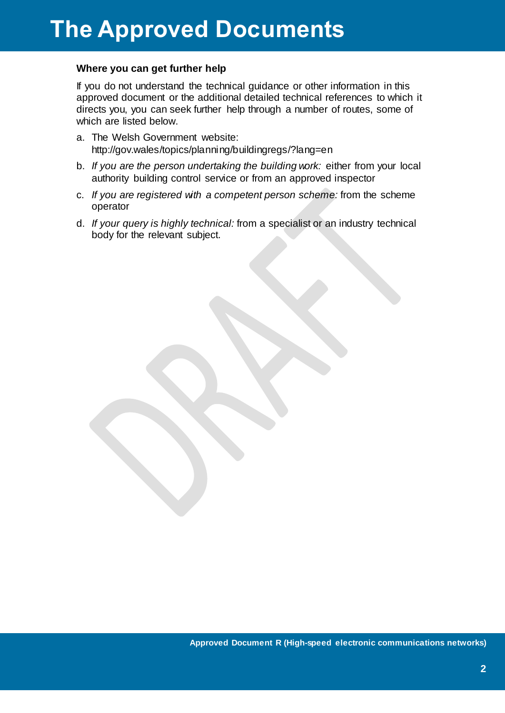## **Where you can get further help**

If you do not understand the technical guidance or other information in this approved document or the additional detailed technical references to which it directs you, you can seek further help through a number of routes, some of which are listed below.

- a. The Welsh Government website: http://gov.wales/topics/planning/buildingregs/?lang=en
- b. *If you are the person undertaking the building work:* either from your local authority building control service or from an approved inspector
- c. *If you are registered with a competent person scheme:* from the scheme operator
- d. *If your query is highly technical:* from a specialist or an industry technical body for the relevant subject.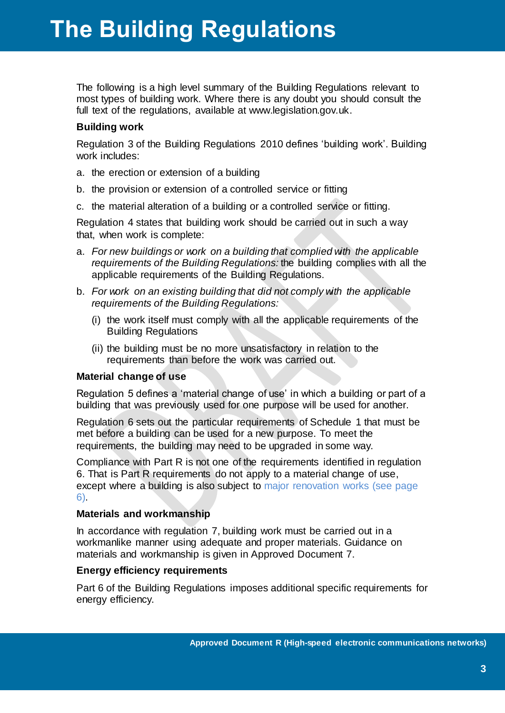# **The Building Regulations**

<span id="page-5-0"></span>The following is a high level summary of the Building Regulations relevant to most types of building work. Where there is any doubt you should consult the full text of the regulations, available at www.legislation.gov.uk.

# **Building work**

Regulation 3 of the Building Regulations 2010 defines 'building work'. Building work includes:

- a. the erection or extension of a building
- b. the provision or extension of a controlled service or fitting
- c. the material alteration of a building or a controlled service or fitting.

Regulation 4 states that building work should be carried out in such a way that, when work is complete:

- a. *For new buildings or work on a building that complied with the applicable requirements of the Building Regulations:* the building complies with all the applicable requirements of the Building Regulations.
- b. *For work on an existing building that did not comply with the applicable requirements of the Building Regulations:*
	- (i) the work itself must comply with all the applicable requirements of the Building Regulations
	- (ii) the building must be no more unsatisfactory in relation to the requirements than before the work was carried out.

# **Material change of use**

Regulation 5 defines a 'material change of use' in which a building or part of a building that was previously used for one purpose will be used for another.

Regulation 6 sets out the particular requirements of Schedule 1 that must be met before a building can be used for a new purpose. To meet the requirements, the building may need to be upgraded in some way.

Compliance with Part R is not one of the requirements identified in regulation 6. That is Part R requirements do not apply to a material change of use, except where a building is also subject to major renovation works (see page 6).

## **Materials and workmanship**

In accordance with regulation 7, building work must be carried out in a workmanlike manner using adequate and proper materials. Guidance on materials and workmanship is given in Approved Document 7.

# **Energy efficiency requirements**

Part 6 of the Building Regulations imposes additional specific requirements for energy efficiency.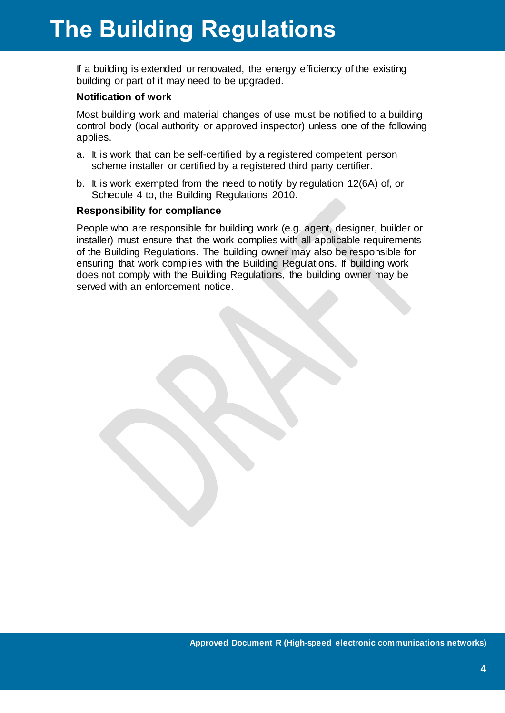# **The Building Regulations**

If a building is extended or renovated, the energy efficiency of the existing building or part of it may need to be upgraded.

## **Notification of work**

Most building work and material changes of use must be notified to a building control body (local authority or approved inspector) unless one of the following applies.

- a. It is work that can be self-certified by a registered competent person scheme installer or certified by a registered third party certifier.
- b. It is work exempted from the need to notify by regulation 12(6A) of, or Schedule 4 to, the Building Regulations 2010.

#### **Responsibility for compliance**

People who are responsible for building work (e.g. agent, designer, builder or installer) must ensure that the work complies with all applicable requirements of the Building Regulations. The building owner may also be responsible for ensuring that work complies with the Building Regulations. If building work does not comply with the Building Regulations, the building owner may be served with an enforcement notice.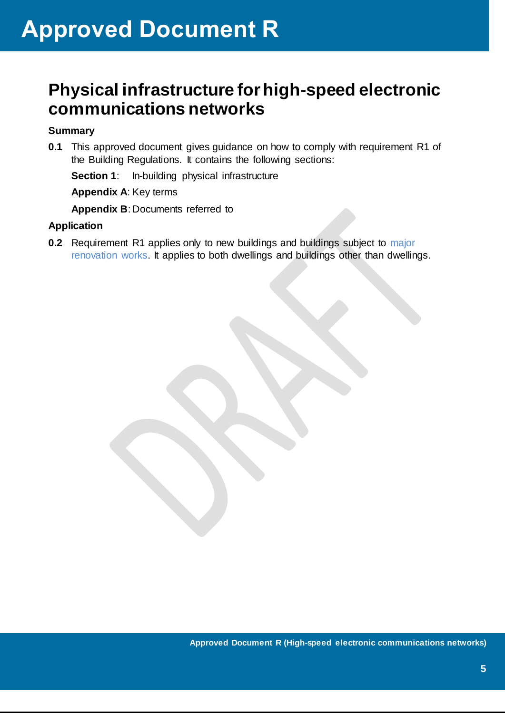# <span id="page-7-1"></span><span id="page-7-0"></span>**Physical infrastructure forhigh-speed electronic communications networks**

# <span id="page-7-2"></span>**Summary**

**0.1** This approved document gives guidance on how to comply with requirement R1 of the Building Regulations. It contains the following sections:

**Section 1:** In-building physical infrastructure

**Appendix A**: Key terms

**Appendix B**: Documents referred to

# <span id="page-7-3"></span>**Application**

**0.2** Requirement R1 applies only to new buildings and buildings subject to major renovation works. It applies to both dwellings and buildings other than dwellings.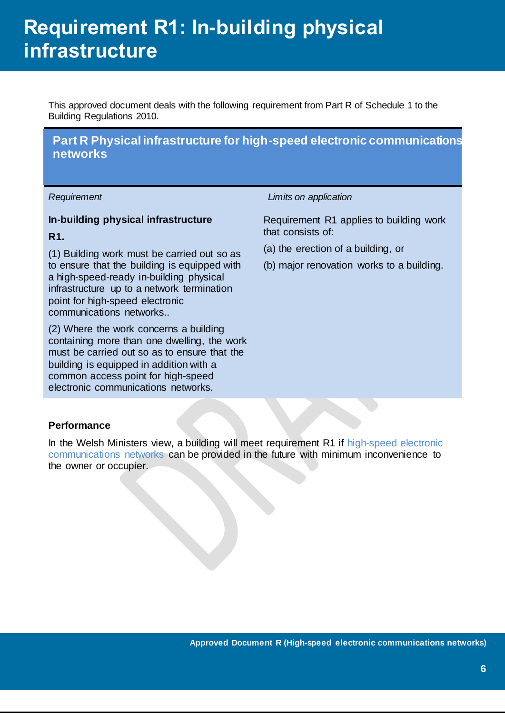# **Requirement R1: In-building physical infrastructure**

<span id="page-8-0"></span>This approved document deals with the following requirement from Part R of Schedule 1 to the Building Regulations 2010.

# **Part R Physical infrastructure for high-speed electronic communications networks**

# **In-building physical infrastructure**

# **R1.**

(1) Building work must be carried out so as to ensure that the building is equipped with a high-speed-ready in-building physical infrastructure up to a network termination point for high-speed electronic communications networks..

(2) Where the work concerns a building containing more than one dwelling, the work must be carried out so as to ensure that the building is equipped in addition with a common access point for high-speed electronic communications networks.

#### *Requirement Limits on application*

Requirement R1 applies to building work that consists of:

- (a) the erection of a building, or
- (b) major renovation works to a building.

## **Performance**

In the Welsh Ministers view, a building will meet requirement R1 if high-speed electronic communications networks can be provided in the future with minimum inconvenience to the owner or occupier.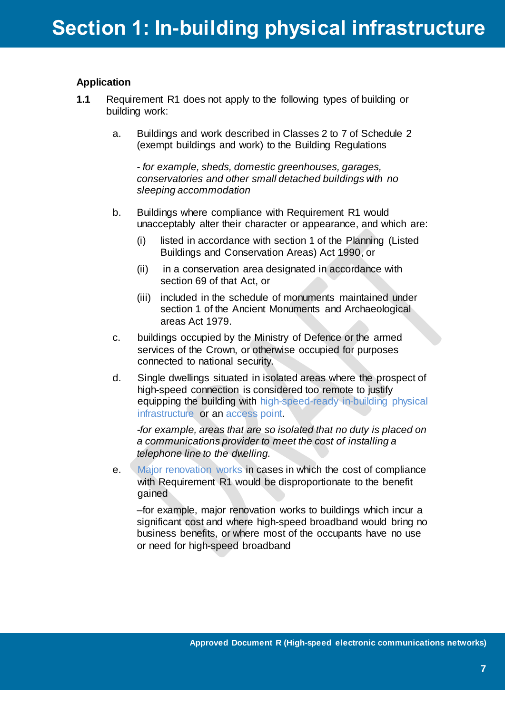# <span id="page-9-0"></span>**Application**

- **1.1** Requirement R1 does not apply to the following types of building or building work:
	- a. Buildings and work described in Classes 2 to 7 of Schedule 2 (exempt buildings and work) to the Building Regulations

- *for example, sheds, domestic greenhouses, garages, conservatories and other small detached buildings with no sleeping accommodation*

- b. Buildings where compliance with Requirement R1 would unacceptably alter their character or appearance, and which are:
	- (i) listed in accordance with section 1 of the Planning (Listed Buildings and Conservation Areas) Act 1990, or
	- (ii) in a conservation area designated in accordance with section 69 of that Act, or
	- (iii) included in the schedule of monuments maintained under section 1 of the Ancient Monuments and Archaeological areas Act 1979.
- c. buildings occupied by the Ministry of Defence or the armed services of the Crown, or otherwise occupied for purposes connected to national security.
- d. Single dwellings situated in isolated areas where the prospect of high-speed connection is considered too remote to justify equipping the building with high-speed-ready in-building physical infrastructure or an access point.

*-for example, areas that are so isolated that no duty is placed on a communications provider to meet the cost of installing a telephone line to the dwelling.*

e. Major renovation works in cases in which the cost of compliance with Requirement R1 would be disproportionate to the benefit gained

–for example, major renovation works to buildings which incur a significant cost and where high-speed broadband would bring no business benefits, or where most of the occupants have no use or need for high-speed broadband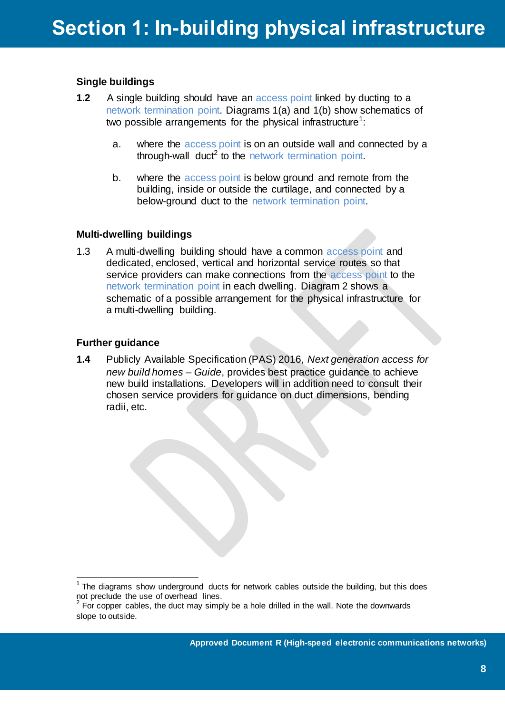# **Single buildings**

- **1.2** A single building should have an access point linked by ducting to a network termination point. Diagrams 1(a) and 1(b) show schematics of two possible arrangements for the physical infrastructure<sup>1</sup>:
	- a. where the access point is on an outside wall and connected by a through-wall duct<sup>2</sup> to the network termination point.
	- b. where the access point is below ground and remote from the building, inside or outside the curtilage, and connected by a below-ground duct to the network termination point.

# **Multi-dwelling buildings**

1.3 A multi-dwelling building should have a common access point and dedicated, enclosed, vertical and horizontal service routes so that service providers can make connections from the access point to the network termination point in each dwelling. Diagram 2 shows a schematic of a possible arrangement for the physical infrastructure for a multi-dwelling building.

# **Further guidance**

 $\overline{a}$ 

**1.4** Publicly Available Specification (PAS) 2016, *Next generation access for new build homes – Guide*, provides best practice guidance to achieve new build installations. Developers will in addition need to consult their chosen service providers for guidance on duct dimensions, bending radii, etc.

 $1$  The diagrams show underground ducts for network cables outside the building, but this does not preclude the use of overhead lines.<br><sup>2</sup> For copper cables, the duct may simply be a hole drilled in the wall. Note the downwards

slope to outside.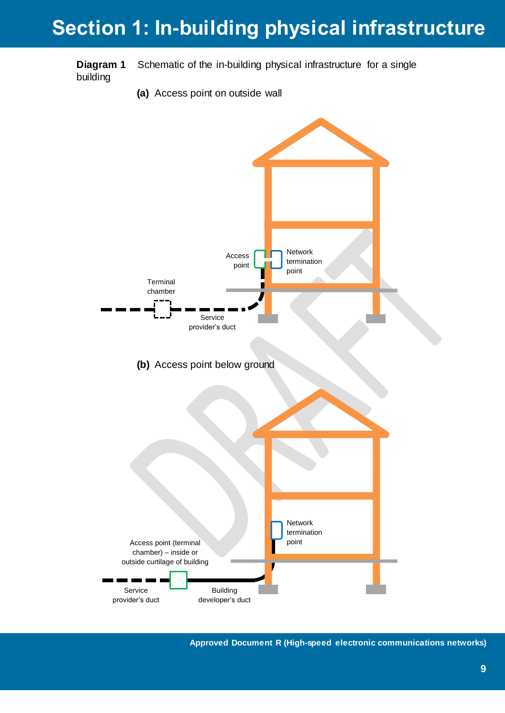# **Section 1: In-building physical infrastructure**

**Diagram 1** Schematic of the in-building physical infrastructure for a single building

**(a)** Access point on outside wall



**Approved Document R (High-speed electronic communications networks)**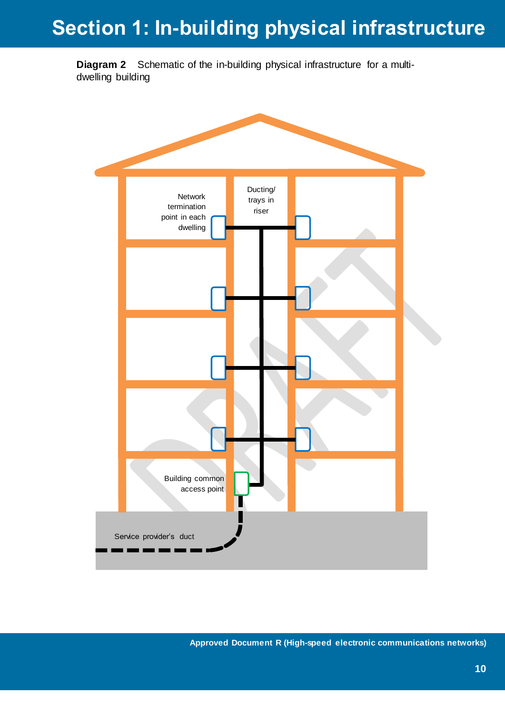# **Section 1: In-building physical infrastructure**

**Diagram 2** Schematic of the in-building physical infrastructure for a multidwelling building



**Approved Document R (High-speed electronic communications networks)**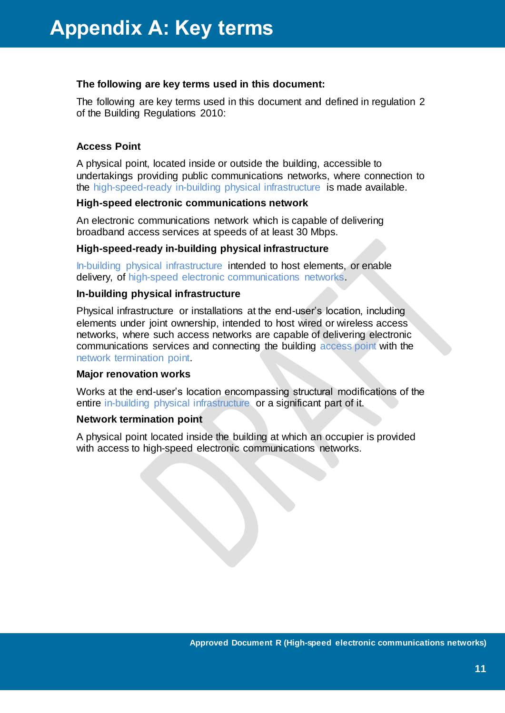## <span id="page-13-0"></span>**The following are key terms used in this document:**

The following are key terms used in this document and defined in regulation 2 of the Building Regulations 2010:

# **Access Point**

A physical point, located inside or outside the building, accessible to undertakings providing public communications networks, where connection to the high-speed-ready in-building physical infrastructure is made available.

# **High-speed electronic communications network**

An electronic communications network which is capable of delivering broadband access services at speeds of at least 30 Mbps.

# **High-speed-ready in-building physical infrastructure**

In-building physical infrastructure intended to host elements, or enable delivery, of high-speed electronic communications networks.

## **In-building physical infrastructure**

Physical infrastructure or installations at the end-user's location, including elements under joint ownership, intended to host wired or wireless access networks, where such access networks are capable of delivering electronic communications services and connecting the building access point with the network termination point.

## **Major renovation works**

Works at the end-user's location encompassing structural modifications of the entire in-building physical infrastructure or a significant part of it.

## **Network termination point**

A physical point located inside the building at which an occupier is provided with access to high-speed electronic communications networks.